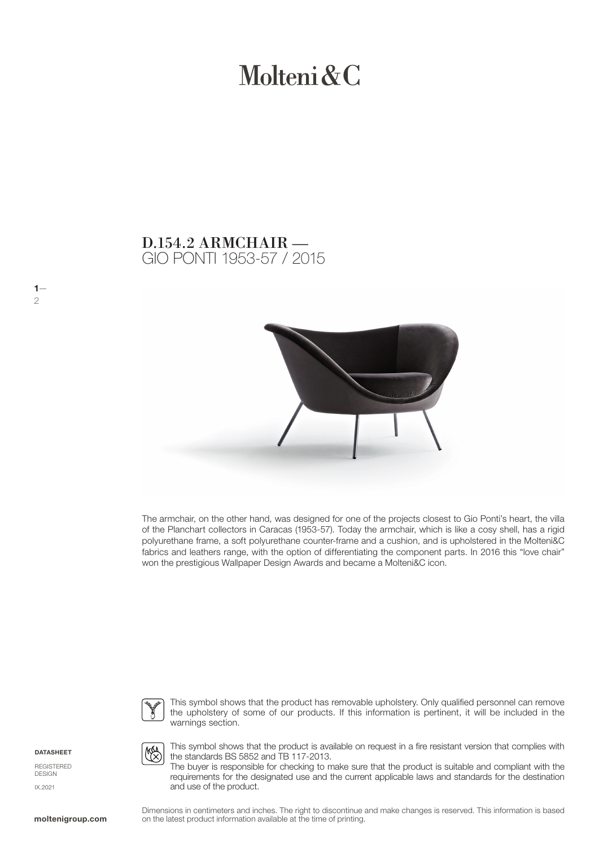# Molteni & C

## GIO PONTI 1953-57 / 2015 D.154.2 ARMCHAIR —



The armchair, on the other hand, was designed for one of the projects closest to Gio Ponti's heart, the villa of the Planchart collectors in Caracas (1953-57). Today the armchair, which is like a cosy shell, has a rigid polyurethane frame, a soft polyurethane counter-frame and a cushion, and is upholstered in the Molteni&C fabrics and leathers range, with the option of differentiating the component parts. In 2016 this "love chair" won the prestigious Wallpaper Design Awards and became a Molteni&C icon.



This symbol shows that the product has removable upholstery. Only qualified personnel can remove the upholstery of some of our products. If this information is pertinent, it will be included in the warnings section.

**DATASHEET** 

 $1-$ 

2

REGISTERED **DESIGN** IX.2021



This symbol shows that the product is available on request in a fire resistant version that complies with the standards BS 5852 and TB 117-2013.

The buyer is responsible for checking to make sure that the product is suitable and compliant with the requirements for the designated use and the current applicable laws and standards for the destination and use of the product.

Dimensions in centimeters and inches. The right to discontinue and make changes is reserved. This information is based on the latest product information available at the time of printing.